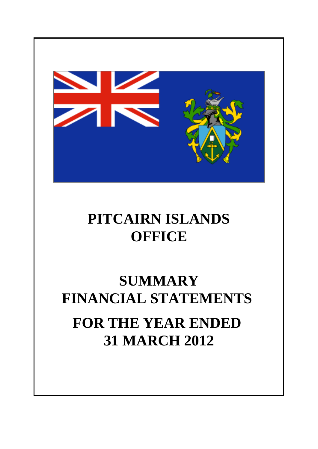

## **PITCAIRN ISLANDS OFFICE**

# **SUMMARY FINANCIAL STATEMENTS FOR THE YEAR ENDED 31 MARCH 2012**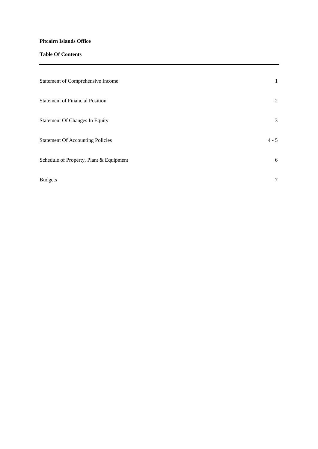## **Pitcairn Islands Office**

## **Table Of Contents**

| <b>Statement of Comprehensive Income</b> | $\mathbf{1}$ |
|------------------------------------------|--------------|
| <b>Statement of Financial Position</b>   | 2            |
| <b>Statement Of Changes In Equity</b>    | 3            |
| <b>Statement Of Accounting Policies</b>  | $4 - 5$      |
| Schedule of Property, Plant & Equipment  | 6            |
| <b>Budgets</b>                           | $\tau$       |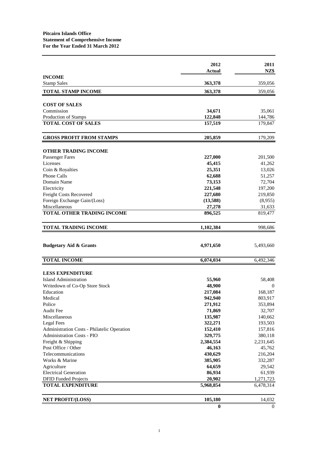|                                             | 2012      | 2011           |
|---------------------------------------------|-----------|----------------|
|                                             | Actual    | NZ\$           |
| <b>INCOME</b><br><b>Stamp Sales</b>         | 363,378   | 359,056        |
|                                             |           |                |
| <b>TOTAL STAMP INCOME</b>                   | 363,378   | 359,056        |
| <b>COST OF SALES</b>                        |           |                |
| Commission                                  | 34,671    | 35,061         |
| Production of Stamps                        | 122,848   | 144,786        |
| <b>TOTAL COST OF SALES</b>                  | 157,519   | 179,847        |
| <b>GROSS PROFIT FROM STAMPS</b>             | 205,859   | 179,209        |
| <b>OTHER TRADING INCOME</b>                 |           |                |
| <b>Passenger Fares</b>                      | 227,000   | 201,500        |
| Licenses                                    | 45,415    | 41,262         |
| Coin & Royalties                            | 25,351    | 13,026         |
| <b>Phone Calls</b>                          | 62,688    | 51,257         |
| Domain Name                                 | 73,153    | 72,704         |
| Electricity                                 | 221,548   | 197,200        |
| Freight Costs Recovered                     | 227,680   | 219,850        |
| Foreign Exchange Gain/(Loss)                | (13,588)  | (8,955)        |
| Miscellaneous                               | 27,278    | 31,633         |
| TOTAL OTHER TRADING INCOME                  | 896,525   | 819,477        |
| <b>TOTAL TRADING INCOME</b>                 | 1,102,384 | 998,686        |
|                                             |           |                |
| <b>Budgetary Aid &amp; Grants</b>           | 4,971,650 | 5,493,660      |
| <b>TOTAL INCOME</b>                         | 6,074,034 | 6,492,346      |
| <b>LESS EXPENDITURE</b>                     |           |                |
| <b>Island Administration</b>                | 55,960    | 58,408         |
| Writedown of Co-Op Store Stock              | 48,900    | $\overline{0}$ |
| Education                                   | 217,084   | 168,187        |
| Medical                                     | 942,940   | 803,917        |
| Police                                      | 271,912   | 353,894        |
| Audit Fee                                   | 71,869    | 32,707         |
| Miscellaneous                               | 135,987   | 140,662        |
| Legal Fees                                  | 322,271   | 193,503        |
| Administration Costs - Philatelic Operation | 152,410   | 157,816        |
| Administration Costs - PIO                  | 329,775   | 380,118        |
| Freight & Shipping                          | 2,384,554 | 2,231,645      |
| Post Office / Other                         | 46,163    | 45,762         |
| Telecommunications                          | 430,629   | 216,204        |
| Works & Marine                              | 385,905   | 332,287        |
| Agriculture                                 | 64,659    | 29,542         |
| <b>Electrical Generation</b>                | 86,934    | 61,939         |
| <b>DFID Funded Projects</b>                 | 20,902    | 1,271,723      |
| <b>TOTAL EXPENDITURE</b>                    | 5,968,854 | 6,478,314      |
| <b>NET PROFIT/(LOSS)</b>                    | 105,180   | 14,032         |
|                                             | $\bf{0}$  | $\theta$       |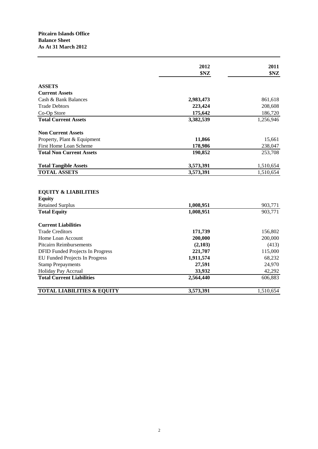## **Pitcairn Islands Office Balance Sheet As At 31 March 2012**

|                                                                             | 2012<br>\$NZ | 2011<br>\$NZ |
|-----------------------------------------------------------------------------|--------------|--------------|
| <b>ASSETS</b>                                                               |              |              |
| <b>Current Assets</b>                                                       |              |              |
| Cash & Bank Balances                                                        | 2,983,473    | 861,618      |
| <b>Trade Debtors</b>                                                        | 223,424      | 208,608      |
| Co-Op Store                                                                 | 175,642      | 186,720      |
| <b>Total Current Assets</b>                                                 | 3,382,539    | 1,256,946    |
| <b>Non Current Assets</b>                                                   |              |              |
| Property, Plant & Equipment                                                 | 11,866       | 15,661       |
| First Home Loan Scheme                                                      | 178,986      | 238,047      |
| <b>Total Non Current Assets</b>                                             | 190,852      | 253,708      |
| <b>Total Tangible Assets</b>                                                | 3,573,391    | 1,510,654    |
| <b>TOTAL ASSETS</b>                                                         | 3,573,391    | 1,510,654    |
| <b>EQUITY &amp; LIABILITIES</b><br><b>Equity</b><br><b>Retained Surplus</b> | 1,008,951    | 903,771      |
| <b>Total Equity</b>                                                         | 1,008,951    | 903,771      |
| <b>Current Liabilities</b>                                                  |              |              |
| <b>Trade Creditors</b>                                                      | 171,739      | 156,802      |
| Home Loan Account                                                           | 200,000      | 200,000      |
| <b>Pitcairn Reimbursements</b>                                              | (2,103)      | (413)        |
| <b>DFID Funded Projects In Progress</b>                                     | 221,707      | 115,000      |
| EU Funded Projects In Progress                                              | 1,911,574    | 68,232       |
| <b>Stamp Prepayments</b>                                                    | 27,591       | 24,970       |
| Holiday Pay Accrual                                                         | 33,932       | 42,292       |
| <b>Total Current Liabilities</b>                                            | 2,564,440    | 606,883      |
| <b>TOTAL LIABILITIES &amp; EQUITY</b>                                       | 3,573,391    | 1,510,654    |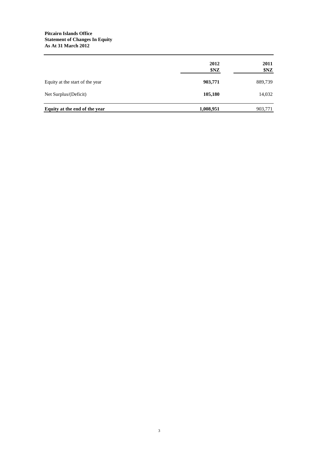### **Pitcairn Islands Office Statement of Changes In Equity As At 31 March 2012**

|                                 | 2012<br>\$NZ | 2011<br>\$NZ |
|---------------------------------|--------------|--------------|
| Equity at the start of the year | 903,771      | 889,739      |
| Net Surplus/(Deficit)           | 105,180      | 14,032       |
| Equity at the end of the year   | 1,008,951    | 903,771      |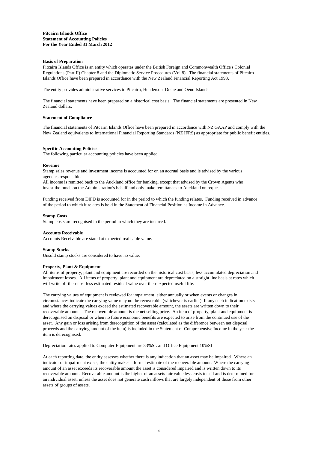#### **Basis of Preparation**

Pitcairn Islands Office is an entity which operates under the British Foreign and Commonwealth Office's Colonial Regulations (Part II) Chapter 8 and the Diplomatic Service Procedures (Vol 8). The financial statements of Pitcairn Islands Office have been prepared in accordance with the New Zealand Financial Reporting Act 1993.

The entity provides administrative services to Pitcairn, Henderson, Ducie and Oeno Islands.

The financial statements have been prepared on a historical cost basis. The financial statements are presented in New Zealand dollars.

#### **Statement of Compliance**

The financial statements of Pitcairn Islands Office have been prepared in accordance with NZ GAAP and comply with the New Zealand equivalents to International Financial Reporting Standards (NZ IFRS) as appropriate for public benefit entities.

#### **Specific Accounting Policies**

The following particular accounting policies have been applied.

#### **Revenue**

Stamp sales revenue and investment income is accounted for on an accrual basis and is advised by the various agencies responsible.

All income is remitted back to the Auckland office for banking, except that advised by the Crown Agents who invest the funds on the Administration's behalf and only make remittances to Auckland on request.

Funding received from DIFD is accounted for in the period to which the funding relates. Funding received in advance of the period to which it relates is held in the Statement of Financial Position as Income in Advance.

#### **Stamp Costs**

Stamp costs are recognised in the period in which they are incurred.

#### **Accounts Receivable**

Accounts Receivable are stated at expected realisable value.

#### **Stamp Stocks**

Unsold stamp stocks are considered to have no value.

#### **Property, Plant & Equipment**

All items of property, plant and equipment are recorded on the historical cost basis, less accumulated depreciation and impairment losses. All items of property, plant and equipment are depreciated on a straight line basis at rates which will write off their cost less estimated residual value over their expected useful life.

The carrying values of equipment is reviewed for impairment, either annually or when events or changes in circumstances indicate the carrying value may not be recoverable (whichever is earlier). If any such indication exists and where the carrying values exceed the estimated recoverable amount, the assets are written down to their recoverable amounts. The recoverable amount is the net selling price. An item of property, plant and equipment is derecognised on disposal or when no future economic benefits are expected to arise from the continued use of the asset. Any gain or loss arising from derecognition of the asset (calculated as the difference between net disposal proceeds and the carrying amount of the item) is included in the Statement of Comprehensive Income in the year the item is derecognised.

Depreciation rates applied to Computer Equipment are 33%SL and Office Equipment 10%SL

At each reporting date, the entity assesses whether there is any indication that an asset may be impaired. Where an indicator of impairment exists, the entity makes a formal estimate of the recoverable amount. Where the carrying amount of an asset exceeds its recoverable amount the asset is considered impaired and is written down to its recoverable amount. Recoverable amount is the higher of an assets fair value less costs to sell and is determined for an individual asset, unless the asset does not generate cash inflows that are largely independent of those from other assets of groups of assets.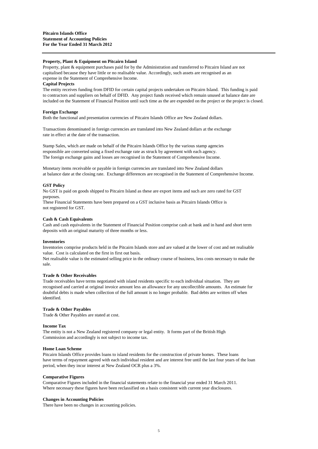#### **Property, Plant & Equipment on Pitcairn Island**

Property, plant & equipment purchases paid for by the Administration and transferred to Pitcairn Island are not capitalised because they have little or no realisable value. Accordingly, such assets are recognised as an expense in the Statement of Comprehensive Income.

#### **Capital Projects**

The entity receives funding from DFID for certain capital projects undertaken on Pitcairn Island. This funding is paid to contractors and suppliers on behalf of DFID. Any project funds received which remain unused at balance date are included on the Statement of Financial Position until such time as the are expended on the project or the project is closed.

#### **Foreign Exchange**

Both the functional and presentation currencies of Pitcairn Islands Office are New Zealand dollars.

Transactions denominated in foreign currencies are translated into New Zealand dollars at the exchange rate in effect at the date of the transaction.

Stamp Sales, which are made on behalf of the Pitcairn Islands Office by the various stamp agencies responsible are converted using a fixed exchange rate as struck by agreement with each agency. The foreign exchange gains and losses are recognised in the Statement of Comprehensive Income.

Monetary items receivable or payable in foreign currencies are translated into New Zealand dollars at balance date at the closing rate. Exchange differences are recognised in the Statement of Comprehensive Income.

#### **GST Policy**

No GST is paid on goods shipped to Pitcairn Island as these are export items and such are zero rated for GST purposes.

These Financial Statements have been prepared on a GST inclusive basis as Pitcairn Islands Office is not registered for GST.

#### **Cash & Cash Equivalents**

Cash and cash equivalents in the Statement of Financial Position comprise cash at bank and in hand and short term deposits with an original maturity of three months or less.

#### **Inventories**

Inventories comprise products held in the Pitcairn Islands store and are valued at the lower of cost and net realisable value. Cost is calculated on the first in first out basis.

Net realisable value is the estimated selling price in the ordinary course of business, less costs necessary to make the sale.

#### **Trade & Other Receivables**

Trade receivables have terms negotiated with island residents specific to each individual situation. They are recognised and carried at original invoice amount less an allowance for any uncollectible amounts. An estimate for doubtful debts is made when collection of the full amount is no longer probable. Bad debts are written off when identified.

#### **Trade & Other Payables**

Trade & Other Payables are stated at cost.

#### **Income Tax**

The entity is not a New Zealand registered company or legal entity. It forms part of the British High Commission and accordingly is not subject to income tax.

#### **Home Loan Scheme**

Pitcairn Islands Office provides loans to island residents for the construction of private homes. These loans have terms of repayment agreed with each individual resident and are interest free until the last four years of the loan period, when they incur interest at New Zealand OCR plus a 3%.

#### **Comparative Figures**

Comparative Figures included in the financial statements relate to the financial year ended 31 March 2011. Where necessary these figures have been reclassified on a basis consistent with current year disclosures.

#### **Changes in Accounting Policies**

There have been no changes in accounting policies.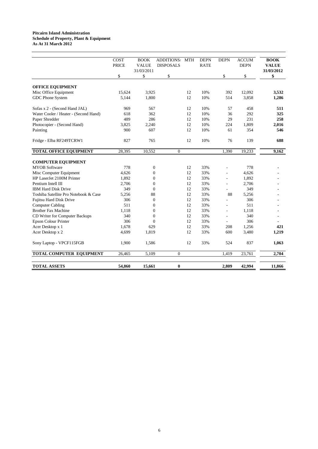#### **Pitcairn Island Administration Schedule of Property, Plant & Equipment As At 31 March 2012**

|                                       | COST<br><b>PRICE</b> | <b>BOOK</b><br><b>VALUE</b><br>31/03/2011 | <b>ADDITIONS</b><br><b>DISPOSALS</b> | <b>MTH</b> | <b>DEPN</b><br><b>RATE</b> | <b>DEPN</b>              | <b>ACCUM</b><br><b>DEPN</b> | <b>BOOK</b><br><b>VALUE</b><br>31/03/2012 |
|---------------------------------------|----------------------|-------------------------------------------|--------------------------------------|------------|----------------------------|--------------------------|-----------------------------|-------------------------------------------|
|                                       | \$                   | \$                                        | \$                                   |            |                            | \$                       | \$                          | \$                                        |
| <b>OFFICE EQUIPMENT</b>               |                      |                                           |                                      |            |                            |                          |                             |                                           |
| Misc Office Equipment                 | 15,624               | 3,925                                     |                                      | 12         | 10%                        | 392                      | 12,092                      | 3,532                                     |
| GDC Phone System                      | 5,144                | 1,800                                     |                                      | 12         | 10%                        | 514                      | 3,858                       | 1,286                                     |
| Sofas x 2 - (Second Hand JAL)         | 969                  | 567                                       |                                      | 12         | 10%                        | 57                       | 458                         | 511                                       |
| Water Cooler / Heater - (Second Hand) | 618                  | 362                                       |                                      | 12         | 10%                        | 36                       | 292                         | 325                                       |
| Paper Shredder                        | 489                  | 286                                       |                                      | 12         | 10%                        | 29                       | 231                         | 258                                       |
| Photocopier - (Second Hand)           | 3,825                | 2,240                                     |                                      | 12         | 10%                        | 224                      | 1,809                       | 2,016                                     |
| Painting                              | 900                  | 607                                       |                                      | 12         | 10%                        | 61                       | 354                         | 546                                       |
| Fridge - Elba RF249TCRW1              | 827                  | 765                                       |                                      | 12         | 10%                        | 76                       | 139                         | 688                                       |
| <b>TOTAL OFFICE EQUIPMENT</b>         | 28,395               | 10,552                                    | $\mathbf{0}$                         |            |                            | 1,390                    | 19,233                      | 9,162                                     |
| <b>COMPUTER EQUIPMENT</b>             |                      |                                           |                                      |            |                            |                          |                             |                                           |
| <b>MYOB</b> Software                  | 778                  | $\boldsymbol{0}$                          |                                      | 12         | 33%                        |                          | 778                         |                                           |
| Misc Computer Equipment               | 4.626                | $\overline{0}$                            |                                      | 12         | 33%                        |                          | 4,626                       |                                           |
| HP LaserJet 2100M Printer             | 1,892                | $\mathbf{0}$                              |                                      | 12         | 33%                        | L.                       | 1,892                       |                                           |
| Pentium Intell III                    | 2,706                | $\mathbf{0}$                              |                                      | 12         | 33%                        |                          | 2,706                       |                                           |
| <b>IBM Hard Disk Drive</b>            | 349                  | $\Omega$                                  |                                      | 12         | 33%                        |                          | 349                         |                                           |
| Toshiba Satellite Pro Notebook & Case | 5.256                | 88                                        |                                      | 12         | 33%                        | 88                       | 5.256                       |                                           |
| <b>Fujitsu Hard Disk Drive</b>        | 306                  | $\Omega$                                  |                                      | 12         | 33%                        | $\overline{\phantom{a}}$ | 306                         |                                           |
| <b>Computer Cabling</b>               | 511                  | $\mathbf{0}$                              |                                      | 12         | 33%                        |                          | 511                         |                                           |
| <b>Brother Fax Machine</b>            | 1.118                | $\overline{0}$                            |                                      | 12         | 33%                        | $\overline{a}$           | 1.118                       |                                           |
| CD Writer for Computer Backups        | 340                  | $\theta$                                  |                                      | 12         | 33%                        |                          | 340                         |                                           |
| <b>Epson Colour Printer</b>           | 306                  | $\theta$                                  |                                      | 12         | 33%                        |                          | 306                         |                                           |
| Acer Desktop x 1                      | 1.678                | 629                                       |                                      | 12         | 33%                        | 208                      | 1,256                       | 421                                       |
| Acer Desktop x 2                      | 4,699                | 1,819                                     |                                      | 12         | 33%                        | 600                      | 3,480                       | 1,219                                     |
| Sony Laptop - VPCF115FGB              | 1,900                | 1,586                                     |                                      | 12         | 33%                        | 524                      | 837                         | 1,063                                     |
| TOTAL COMPUTER EQUIPMENT              | 26,465               | 5,109                                     | $\Omega$                             |            |                            | 1,419                    | 23,761                      | 2,704                                     |
| <b>TOTAL ASSETS</b>                   | 54.860               | 15,661                                    | $\bf{0}$                             |            |                            | 2.809                    | 42,994                      | 11,866                                    |